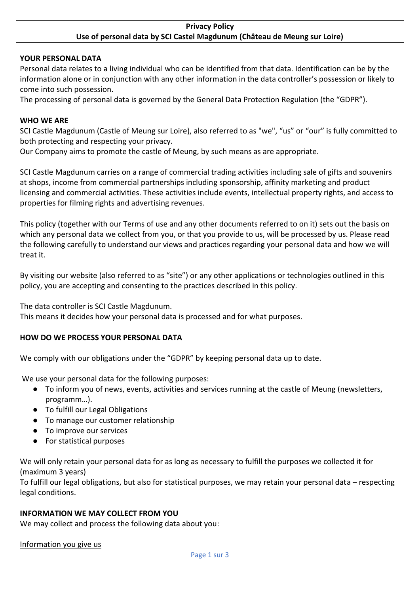### **Privacy Policy Use of personal data by SCI Castel Magdunum (Château de Meung sur Loire)**

#### **YOUR PERSONAL DATA**

Personal data relates to a living individual who can be identified from that data. Identification can be by the information alone or in conjunction with any other information in the data controller's possession or likely to come into such possession.

The processing of personal data is governed by the General Data Protection Regulation (the "GDPR").

#### **WHO WE ARE**

SCI Castle Magdunum (Castle of Meung sur Loire), also referred to as "we", "us" or "our" is fully committed to both protecting and respecting your privacy.

Our Company aims to promote the castle of Meung, by such means as are appropriate.

SCI Castle Magdunum carries on a range of commercial trading activities including sale of gifts and souvenirs at shops, income from commercial partnerships including sponsorship, affinity marketing and product licensing and commercial activities. These activities include events, intellectual property rights, and access to properties for filming rights and advertising revenues.

This policy (together with our Terms of use and any other documents referred to on it) sets out the basis on which any personal data we collect from you, or that you provide to us, will be processed by us. Please read the following carefully to understand our views and practices regarding your personal data and how we will treat it.

By visiting our website (also referred to as "site") or any other applications or technologies outlined in this policy, you are accepting and consenting to the practices described in this policy.

The data controller is SCI Castle Magdunum.

This means it decides how your personal data is processed and for what purposes.

#### **HOW DO WE PROCESS YOUR PERSONAL DATA**

We comply with our obligations under the "GDPR" by keeping personal data up to date.

We use your personal data for the following purposes:

- To inform you of news, events, activities and services running at the castle of Meung (newsletters, programm…).
- To fulfill our Legal Obligations
- To manage our customer relationship
- To improve our services
- For statistical purposes

We will only retain your personal data for as long as necessary to fulfill the purposes we collected it for (maximum 3 years)

To fulfill our legal obligations, but also for statistical purposes, we may retain your personal data – respecting legal conditions.

## **INFORMATION WE MAY COLLECT FROM YOU**

We may collect and process the following data about you:

Information you give us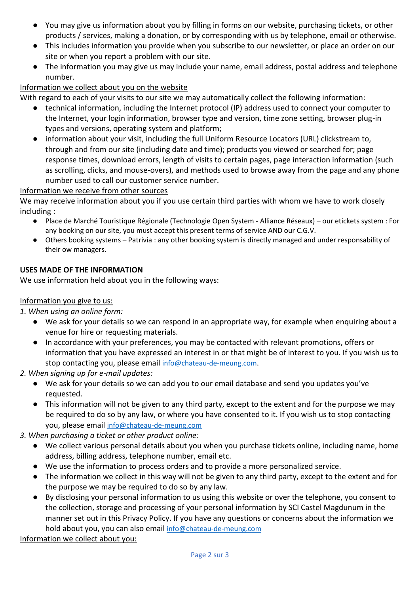- You may give us information about you by filling in forms on our website, purchasing tickets, or other products / services, making a donation, or by corresponding with us by telephone, email or otherwise.
- This includes information you provide when you subscribe to our newsletter, or place an order on our site or when you report a problem with our site.
- The information you may give us may include your name, email address, postal address and telephone number.

# Information we collect about you on the website

With regard to each of your visits to our site we may automatically collect the following information:

- technical information, including the Internet protocol (IP) address used to connect your computer to the Internet, your login information, browser type and version, time zone setting, browser plug-in types and versions, operating system and platform;
- information about your visit, including the full Uniform Resource Locators (URL) clickstream to, through and from our site (including date and time); products you viewed or searched for; page response times, download errors, length of visits to certain pages, page interaction information (such as scrolling, clicks, and mouse-overs), and methods used to browse away from the page and any phone number used to call our customer service number.

# Information we receive from other sources

We may receive information about you if you use certain third parties with whom we have to work closely including :

- Place de Marché Touristique Régionale (Technologie Open System Alliance Réseaux) our etickets system : For any booking on our site, you must accept this present terms of service AND our C.G.V.
- Others booking systems Patrivia : any other booking system is directly managed and under responsability of their ow managers.

# **USES MADE OF THE INFORMATION**

We use information held about you in the following ways:

## Information you give to us:

*1. When using an online form:*

- We ask for your details so we can respond in an appropriate way, for example when enquiring about a venue for hire or requesting materials.
- In accordance with your preferences, you may be contacted with relevant promotions, offers or information that you have expressed an interest in or that might be of interest to you. If you wish us to stop contacting you, please email [info@chateau-de-meung.com](mailto:info@chateau-de-meung.com).
- *2. When signing up for e-mail updates:*
	- We ask for your details so we can add you to our email database and send you updates you've requested.
	- This information will not be given to any third party, except to the extent and for the purpose we may be required to do so by any law, or where you have consented to it. If you wish us to stop contacting you, please email [info@chateau-de-meung.com](mailto:info@chateau-de-meung.com)
- *3. When purchasing a ticket or other product online:*
	- We collect various personal details about you when you purchase tickets online, including name, home address, billing address, telephone number, email etc.
	- We use the information to process orders and to provide a more personalized service.
	- The information we collect in this way will not be given to any third party, except to the extent and for the purpose we may be required to do so by any law.
	- By disclosing your personal information to us using this website or over the telephone, you consent to the collection, storage and processing of your personal information by SCI Castel Magdunum in the manner set out in this Privacy Policy. If you have any questions or concerns about the information we hold about you, you can also email [info@chateau-de-meung.com](mailto:info@chateau-de-meung.com)

Information we collect about you: